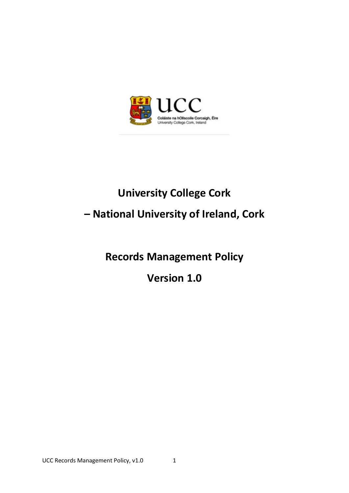

# **University College Cork**

# **– National University of Ireland, Cork**

**Records Management Policy**

**Version 1.0**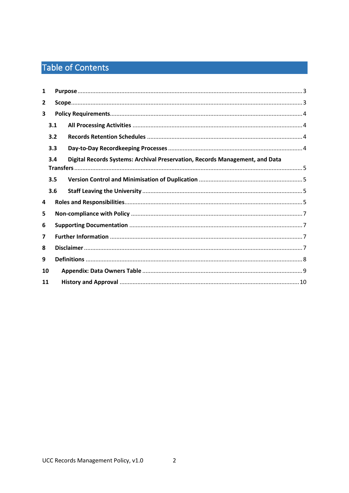# Table of Contents

| $\mathbf{1}$                                                                        |     |  |  |  |  |  |
|-------------------------------------------------------------------------------------|-----|--|--|--|--|--|
| $\overline{2}$                                                                      |     |  |  |  |  |  |
| 3                                                                                   |     |  |  |  |  |  |
|                                                                                     | 3.1 |  |  |  |  |  |
|                                                                                     | 3.2 |  |  |  |  |  |
|                                                                                     | 3.3 |  |  |  |  |  |
| Digital Records Systems: Archival Preservation, Records Management, and Data<br>3.4 |     |  |  |  |  |  |
|                                                                                     | 3.5 |  |  |  |  |  |
|                                                                                     | 3.6 |  |  |  |  |  |
| 4                                                                                   |     |  |  |  |  |  |
| 5                                                                                   |     |  |  |  |  |  |
| 6                                                                                   |     |  |  |  |  |  |
| 7                                                                                   |     |  |  |  |  |  |
| 8                                                                                   |     |  |  |  |  |  |
| 9                                                                                   |     |  |  |  |  |  |
| 10                                                                                  |     |  |  |  |  |  |
| 11                                                                                  |     |  |  |  |  |  |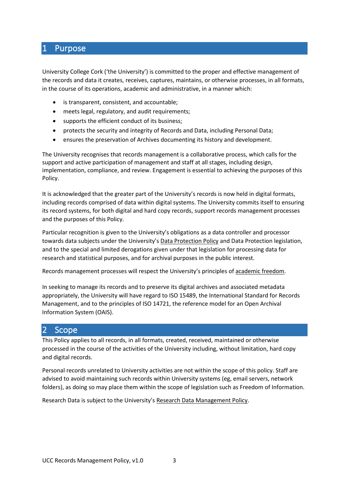## <span id="page-2-0"></span>1 Purpose

University College Cork ('the University') is committed to the proper and effective management of the records and data it creates, receives, captures, maintains, or otherwise processes, in all formats, in the course of its operations, academic and administrative, in a manner which:

- is transparent, consistent, and accountable;
- meets legal, regulatory, and audit requirements;
- supports the efficient conduct of its business;
- protects the security and integrity of Records and Data, including Personal Data;
- ensures the preservation of Archives documenting its history and development.

The University recognises that records management is a collaborative process, which calls for the support and active participation of management and staff at all stages, including design, implementation, compliance, and review. Engagement is essential to achieving the purposes of this Policy.

It is acknowledged that the greater part of the University's records is now held in digital formats, including records comprised of data within digital systems. The University commits itself to ensuring its record systems, for both digital and hard copy records, support records management processes and the purposes of this Policy.

Particular recognition is given to the University's obligations as a data controller and processor towards data subjects under the University's Data Protection Policy and Data Protection legislation, and to the special and limited derogations given under that legislation for processing data for research and statistical purposes, and for archival purposes in the public interest.

Records management processes will respect the University's principles of academic freedom.

In seeking to manage its records and to preserve its digital archives and associated metadata appropriately, the University will have regard to ISO 15489, the International Standard for Records Management, and to the principles of ISO 14721, the reference model for an Open Archival Information System (OAIS).

### <span id="page-2-1"></span>2 Scope

This Policy applies to all records, in all formats, created, received, maintained or otherwise processed in the course of the activities of the University including, without limitation, hard copy and digital records.

Personal records unrelated to University activities are not within the scope of this policy. Staff are advised to avoid maintaining such records within University systems (eg, email servers, network folders), as doing so may place them within the scope of legislation such as Freedom of Information.

Research Data is subject to the University's Research Data Management Policy.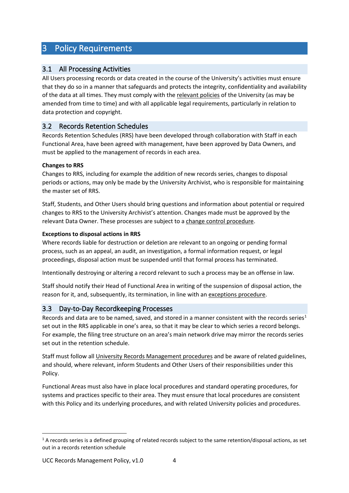# <span id="page-3-0"></span>3 Policy Requirements

### <span id="page-3-1"></span>3.1 All Processing Activities

All Users processing records or data created in the course of the University's activities must ensure that they do so in a manner that safeguards and protects the integrity, confidentiality and availability of the data at all times. They must comply with the relevant policies of the University (as may be amended from time to time) and with all applicable legal requirements, particularly in relation to data protection and copyright.

### <span id="page-3-2"></span>3.2 Records Retention Schedules

Records Retention Schedules (RRS) have been developed through collaboration with Staff in each Functional Area, have been agreed with management, have been approved by Data Owners, and must be applied to the management of records in each area.

### **Changes to RRS**

Changes to RRS, including for example the addition of new records series, changes to disposal periods or actions, may only be made by the University Archivist, who is responsible for maintaining the master set of RRS.

Staff, Students, and Other Users should bring questions and information about potential or required changes to RRS to the University Archivist's attention. Changes made must be approved by the relevant Data Owner. These processes are subject to a change control procedure.

### **Exceptions to disposal actions in RRS**

Where records liable for destruction or deletion are relevant to an ongoing or pending formal process, such as an appeal, an audit, an investigation, a formal information request, or legal proceedings, disposal action must be suspended until that formal process has terminated.

Intentionally destroying or altering a record relevant to such a process may be an offense in law.

Staff should notify their Head of Functional Area in writing of the suspension of disposal action, the reason for it, and, subsequently, its termination, in line with an exceptions procedure.

### <span id="page-3-3"></span>3.3 Day-to-Day Recordkeeping Processes

Records and data are to be named, saved, and stored in a manner consistent with the records series<sup>[1](#page-3-4)</sup> set out in the RRS applicable in one's area, so that it may be clear to which series a record belongs. For example, the filing tree structure on an area's main network drive may mirror the records series set out in the retention schedule.

Staff must follow all University Records Management procedures and be aware of related guidelines, and should, where relevant, inform Students and Other Users of their responsibilities under this Policy.

Functional Areas must also have in place local procedures and standard operating procedures, for systems and practices specific to their area. They must ensure that local procedures are consistent with this Policy and its underlying procedures, and with related University policies and procedures.

<span id="page-3-4"></span> $1$  A records series is a defined grouping of related records subject to the same retention/disposal actions, as set out in a records retention schedule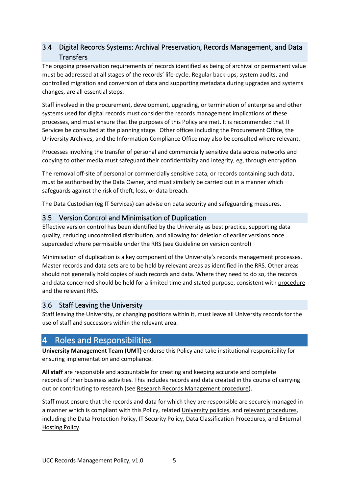### <span id="page-4-0"></span>3.4 Digital Records Systems: Archival Preservation, Records Management, and Data **Transfers**

The ongoing preservation requirements of records identified as being of archival or permanent value must be addressed at all stages of the records' life-cycle. Regular back-ups, system audits, and controlled migration and conversion of data and supporting metadata during upgrades and systems changes, are all essential steps.

Staff involved in the procurement, development, upgrading, or termination of enterprise and other systems used for digital records must consider the records management implications of these processes, and must ensure that the purposes of this Policy are met. It is recommended that IT Services be consulted at the planning stage. Other offices including the Procurement Office, the University Archives, and the Information Compliance Office may also be consulted where relevant.

Processes involving the transfer of personal and commercially sensitive data across networks and copying to other media must safeguard their confidentiality and integrity, eg, through encryption.

The removal off-site of personal or commercially sensitive data, or records containing such data, must be authorised by the Data Owner, and must similarly be carried out in a manner which safeguards against the risk of theft, loss, or data breach.

The Data Custodian (eg IT Services) can advise on data security and safeguarding measures.

### <span id="page-4-1"></span>3.5 Version Control and Minimisation of Duplication

Effective version control has been identified by the University as best practice, supporting data quality, reducing uncontrolled distribution, and allowing for deletion of earlier versions once superceded where permissible under the RRS (see Guideline on version control)

Minimisation of duplication is a key component of the University's records management processes. Master records and data sets are to be held by relevant areas as identified in the RRS. Other areas should not generally hold copies of such records and data. Where they need to do so, the records and data concerned should be held for a limited time and stated purpose, consistent with procedure and the relevant RRS.

### <span id="page-4-2"></span>3.6 Staff Leaving the University

Staff leaving the University, or changing positions within it, must leave all University records for the use of staff and successors within the relevant area.

## <span id="page-4-3"></span>4 Roles and Responsibilities

**University Management Team (UMT)** endorse this Policy and take institutional responsibility for ensuring implementation and compliance.

**All staff** are responsible and accountable for creating and keeping accurate and complete records of their business activities. This includes records and data created in the course of carrying out or contributing to research (see Research Records Management procedure).

Staff must ensure that the records and data for which they are responsible are securely managed in a manner which is compliant with this Policy, related University policies, and relevant procedures, including the Data Protection Policy, IT Security Policy, Data Classification Procedures, and External Hosting Policy.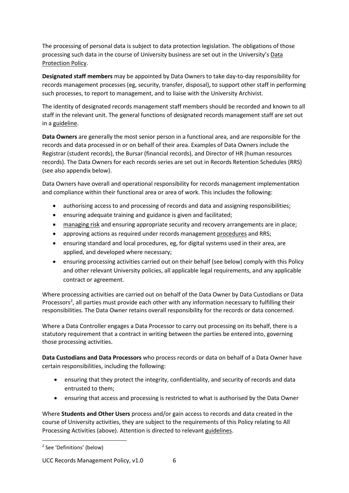The processing of personal data is subject to data protection legislation. The obligations of those processing such data in the course of University business are set out in the University's Data Protection Policy.

**Designated staff members** may be appointed by Data Owners to take day-to-day responsibility for records management processes (eg, security, transfer, disposal), to support other staff in performing such processes, to report to management, and to liaise with the University Archivist.

The identity of designated records management staff members should be recorded and known to all staff in the relevant unit. The general functions of designated records management staff are set out in a guideline.

**Data Owners** are generally the most senior person in a functional area, and are responsible for the records and data processed in or on behalf of their area. Examples of Data Owners include the Registrar (student records), the Bursar (financial records), and Director of HR (human resources records). The Data Owners for each records series are set out in Records Retention Schedules (RRS) (see also appendix below).

Data Owners have overall and operational responsibility for records management implementation and compliance within their functional area or area of work. This includes the following:

- authorising access to and processing of records and data and assigning responsibilities;
- ensuring adequate training and guidance is given and facilitated;
- managing risk and ensuring appropriate security and recovery arrangements are in place;
- approving actions as required under records management procedures and RRS;
- ensuring standard and local procedures, eg, for digital systems used in their area, are applied, and developed where necessary;
- ensuring processing activities carried out on their behalf (see below) comply with this Policy and other relevant University policies, all applicable legal requirements, and any applicable contract or agreement.

Where processing activities are carried out on behalf of the Data Owner by Data Custodians or Data Processors<sup>2</sup>, all parties must provide each other with any information necessary to fulfilling their responsibilities. The Data Owner retains overall responsibility for the records or data concerned.

Where a Data Controller engages a Data Processor to carry out processing on its behalf, there is a statutory requirement that a contract in writing between the parties be entered into, governing those processing activities.

**Data Custodians and Data Processors** who process records or data on behalf of a Data Owner have certain responsibilities, including the following:

- ensuring that they protect the integrity, confidentiality, and security of records and data entrusted to them;
- ensuring that access and processing is restricted to what is authorised by the Data Owner

Where **Students and Other Users** process and/or gain access to records and data created in the course of University activities, they are subject to the requirements of this Policy relating to All Processing Activities (above). Attention is directed to relevant guidelines.

<span id="page-5-0"></span><sup>2</sup> See 'Definitions' (below)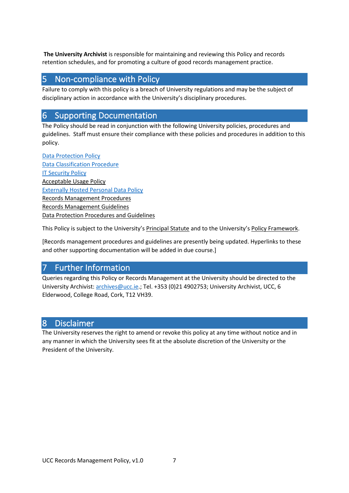**The University Archivist** is responsible for maintaining and reviewing this Policy and records retention schedules, and for promoting a culture of good records management practice.

## <span id="page-6-0"></span>5 Non-compliance with Policy

Failure to comply with this policy is a breach of University regulations and may be the subject of disciplinary action in accordance with the University's disciplinary procedures.

# <span id="page-6-1"></span>6 Supporting Documentation

The Policy should be read in conjunction with the following University policies, procedures and guidelines. Staff must ensure their compliance with these policies and procedures in addition to this policy.

[Data Protection Policy](https://www.ucc.ie/en/media/support/ocla/policies/DataProtectionPolicyv2.0-UMTOApproved.pdf) [Data Classification Procedure](https://www.ucc.ie/en/it-policies/policies/) **[IT Security Policy](https://www.ucc.ie/en/it-policies/policies/security/)** Acceptable Usage Policy [Externally Hosted Personal Data Policy](https://www.ucc.ie/en/it-policies/policies/au-pol/) Records Management Procedures Records Management Guidelines Data Protection Procedures and Guidelines

This Policy is subject to the University's Principal Statute and to the University's Policy Framework.

[Records management procedures and guidelines are presently being updated. Hyperlinks to these and other supporting documentation will be added in due course.]

## <span id="page-6-2"></span>7 Further Information

Queries regarding this Policy or Records Management at the University should be directed to the University Archivist[: archives@ucc.ie.](mailto:archives@ucc.ie); Tel. +353 (0)21 4902753; University Archivist, UCC, 6 Elderwood, College Road, Cork, T12 VH39.

### <span id="page-6-3"></span>8 Disclaimer

The University reserves the right to amend or revoke this policy at any time without notice and in any manner in which the University sees fit at the absolute discretion of the University or the President of the University.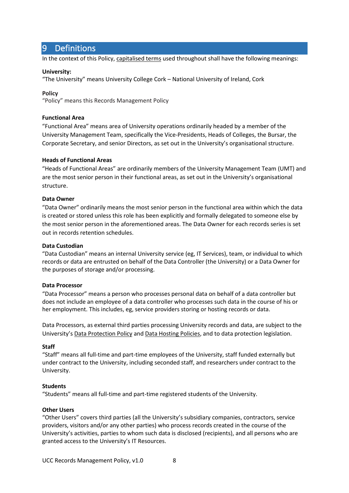# <span id="page-7-0"></span>9 Definitions

In the context of this Policy, capitalised terms used throughout shall have the following meanings:

#### **University:**

"The University" means University College Cork – National University of Ireland, Cork

#### **Policy**

"Policy" means this Records Management Policy

#### **Functional Area**

"Functional Area" means area of University operations ordinarily headed by a member of the University Management Team, specifically the Vice-Presidents, Heads of Colleges, the Bursar, the Corporate Secretary, and senior Directors, as set out in the University's organisational structure.

#### **Heads of Functional Areas**

"Heads of Functional Areas" are ordinarily members of the University Management Team (UMT) and are the most senior person in their functional areas, as set out in the University's organisational structure.

#### **Data Owner**

"Data Owner" ordinarily means the most senior person in the functional area within which the data is created or stored unless this role has been explicitly and formally delegated to someone else by the most senior person in the aforementioned areas. The Data Owner for each records series is set out in records retention schedules.

#### **Data Custodian**

"Data Custodian" means an internal University service (eg, IT Services), team, or individual to which records or data are entrusted on behalf of the Data Controller (the University) or a Data Owner for the purposes of storage and/or processing.

#### **Data Processor**

"Data Processor" means a person who processes personal data on behalf of a data controller but does not include an employee of a data controller who processes such data in the course of his or her employment. This includes, eg, service providers storing or hosting records or data.

Data Processors, as external third parties processing University records and data, are subject to the University's Data Protection Policy and Data Hosting Policies, and to data protection legislation.

#### **Staff**

"Staff" means all full-time and part-time employees of the University, staff funded externally but under contract to the University, including seconded staff, and researchers under contract to the University.

#### **Students**

"Students" means all full-time and part-time registered students of the University.

#### **Other Users**

"Other Users" covers third parties (all the University's subsidiary companies, contractors, service providers, visitors and/or any other parties) who process records created in the course of the University's activities, parties to whom such data is disclosed (recipients), and all persons who are granted access to the University's IT Resources.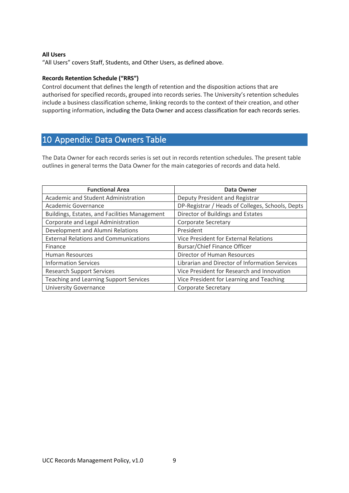#### **All Users**

"All Users" covers Staff, Students, and Other Users, as defined above.

#### **Records Retention Schedule ("RRS")**

Control document that defines the length of retention and the disposition actions that are authorised for specified records, grouped into records series. The University's retention schedules include a business classification scheme, linking records to the context of their creation, and other supporting information, including the Data Owner and access classification for each records series.

# <span id="page-8-0"></span>10 Appendix: Data Owners Table

The Data Owner for each records series is set out in records retention schedules. The present table outlines in general terms the Data Owner for the main categories of records and data held.

| <b>Functional Area</b>                        | <b>Data Owner</b>                                |  |
|-----------------------------------------------|--------------------------------------------------|--|
| Academic and Student Administration           | Deputy President and Registrar                   |  |
| Academic Governance                           | DP-Registrar / Heads of Colleges, Schools, Depts |  |
| Buildings, Estates, and Facilities Management | Director of Buildings and Estates                |  |
| Corporate and Legal Administration            | <b>Corporate Secretary</b>                       |  |
| Development and Alumni Relations              | President                                        |  |
| <b>External Relations and Communications</b>  | Vice President for External Relations            |  |
| Finance                                       | Bursar/Chief Finance Officer                     |  |
| <b>Human Resources</b>                        | Director of Human Resources                      |  |
| <b>Information Services</b>                   | Librarian and Director of Information Services   |  |
| <b>Research Support Services</b>              | Vice President for Research and Innovation       |  |
| Teaching and Learning Support Services        | Vice President for Learning and Teaching         |  |
| <b>University Governance</b>                  | <b>Corporate Secretary</b>                       |  |